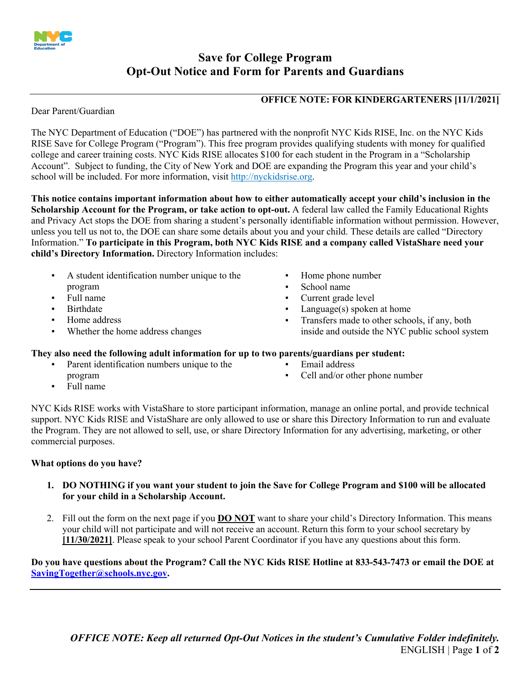

# **Save for College Program Opt-Out Notice and Form for Parents and Guardians**

### **OFFICE NOTE: FOR KINDERGARTENERS [11/1/2021]**

Dear Parent/Guardian

Dear Parent/Guardian<br>The NYC Department of Education ("DOE") has partnered with the nonprofit NYC Kids RISE, Inc. on the NYC Kids college and career training costs. NYC Kids RISE allocates \$100 for each student in the Program in a "Scholarship Account". Subject to funding, the City of New York and DOE are expanding the Program this year and your child's school will be included. For more information, visit<http://nyckidsrise.org>. RISE Save for College Program ("Program"). This free program provides qualifying students with money for qualified

 **This notice contains important information about how to either automatically accept your child's inclusion in the Scholarship Account for the Program, or take action to opt-out.** A federal law called the Family Educational Rights and Privacy Act stops the DOE from sharing a student's personally identifiable information without permission. However, unless you tell us not to, the DOE can share some details about you and your child. These details are called "Directory  Information." **To participate in this Program, both NYC Kids RISE and a company called VistaShare need your child's Directory Information.** Directory Information includes:

- A student identification number unique to the **EX** Home phone number program **Execute 1 Second 1 School name**<br> **•** Surface 1 School name<br> **•** Current grade
- 
- 
- 
- Whether the home address changes
- 
- 
- Full name  $\bullet$  Current grade level
- Birthdate **Example 2** Language(s) spoken at home
- Home address **■** Transfers made to other schools, if any, both inside and outside the NYC public school system

### **They also need the following adult information for up to two parents/guardians per student:**

- program  $\bullet$  Cell and/or other phone number Parent identification numbers unique to the Email address
- -

▪ Full name

 NYC Kids RISE works with VistaShare to store participant information, manage an online portal, and provide technical the Program. They are not allowed to sell, use, or share Directory Information for any advertising, marketing, or other commercial purposes. support. NYC Kids RISE and VistaShare are only allowed to use or share this Directory Information to run and evaluate

### **What options do you have?**

- **1. DO NOTHING if you want your student to join the Save for College Program and \$100 will be allocated for your child in a Scholarship Account.**
- 2. Fill out the form on the next page if you **DO NOT** want to share your child's Directory Information. This means your child will not participate and will not receive an account. Return this form to your school secretary by **[11/30/2021]**. Please speak to your school Parent Coordinator if you have any questions about this form.

 **Do you have questions about the Program? Call the NYC Kids RISE Hotline at 833-543-7473 or email the DOE at [SavingTogether@schools.nyc.gov.](mailto:SavingTogether@schools.nyc.gov)**